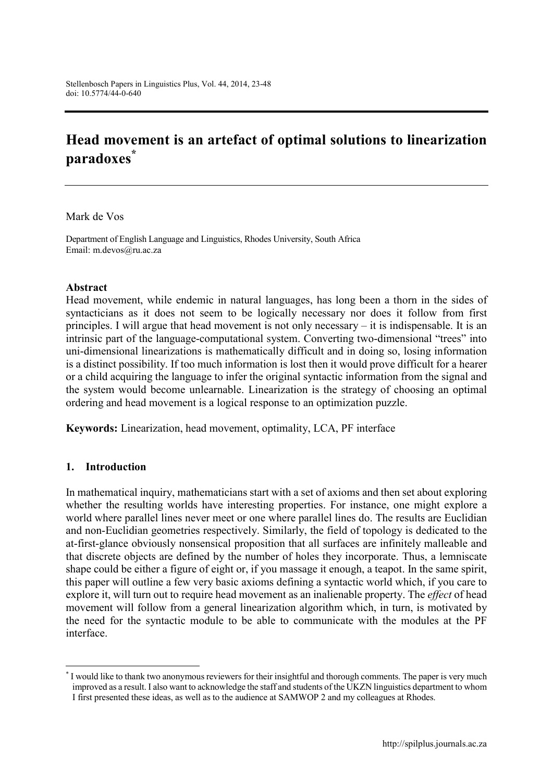# **Head movement is an artefact of optimal solutions to linearization paradoxes\***

Mark de Vos

Department of English Language and Linguistics, Rhodes University, South Africa Email: [m.devos@ru.ac.za](mailto:m.devos@ru.ac.za)

#### **Abstract**

Head movement, while endemic in natural languages, has long been a thorn in the sides of syntacticians as it does not seem to be logically necessary nor does it follow from first principles. I will argue that head movement is not only necessary – it is indispensable. It is an intrinsic part of the language-computational system. Converting two-dimensional "trees" into uni-dimensional linearizations is mathematically difficult and in doing so, losing information is a distinct possibility. If too much information is lost then it would prove difficult for a hearer or a child acquiring the language to infer the original syntactic information from the signal and the system would become unlearnable. Linearization is the strategy of choosing an optimal ordering and head movement is a logical response to an optimization puzzle.

**Keywords:** Linearization, head movement, optimality, LCA, PF interface

#### **1. Introduction**

1

In mathematical inquiry, mathematicians start with a set of axioms and then set about exploring whether the resulting worlds have interesting properties. For instance, one might explore a world where parallel lines never meet or one where parallel lines do. The results are Euclidian and non-Euclidian geometries respectively. Similarly, the field of topology is dedicated to the at-first-glance obviously nonsensical proposition that all surfaces are infinitely malleable and that discrete objects are defined by the number of holes they incorporate. Thus, a lemniscate shape could be either a figure of eight or, if you massage it enough, a teapot. In the same spirit, this paper will outline a few very basic axioms defining a syntactic world which, if you care to explore it, will turn out to require head movement as an inalienable property. The *effect* of head movement will follow from a general linearization algorithm which, in turn, is motivated by the need for the syntactic module to be able to communicate with the modules at the PF interface.

<sup>\*</sup> I would like to thank two anonymous reviewers for their insightful and thorough comments. The paper is very much improved as a result. I also want to acknowledge the staff and students of the UKZN linguistics department to whom I first presented these ideas, as well as to the audience at SAMWOP 2 and my colleagues at Rhodes.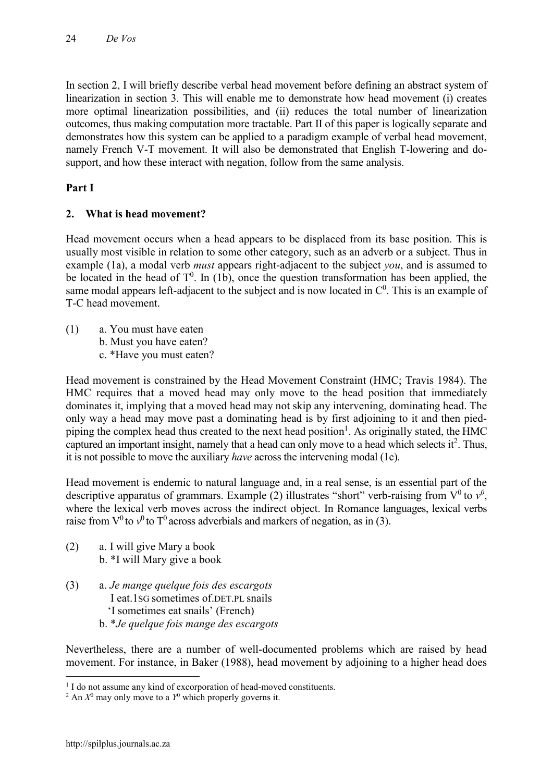In section 2, I will briefly describe verbal head movement before defining an abstract system of linearization in section 3. This will enable me to demonstrate how head movement (i) creates more optimal linearization possibilities, and (ii) reduces the total number of linearization outcomes, thus making computation more tractable. Part II of this paper is logically separate and demonstrates how this system can be applied to a paradigm example of verbal head movement, namely French V-T movement. It will also be demonstrated that English T-lowering and dosupport, and how these interact with negation, follow from the same analysis.

# **Part I**

# **2. What is head movement?**

Head movement occurs when a head appears to be displaced from its base position. This is usually most visible in relation to some other category, such as an adverb or a subject. Thus in example (1a), a modal verb *must* appears right-adjacent to the subject *you*, and is assumed to be located in the head of  $T^0$ . In (1b), once the question transformation has been applied, the same modal appears left-adjacent to the subject and is now located in  $C^0$ . This is an example of T-C head movement.

(1) a. You must have eaten b. Must you have eaten? c. \*Have you must eaten?

Head movement is constrained by the Head Movement Constraint (HMC; Travis 1984). The HMC requires that a moved head may only move to the head position that immediately dominates it, implying that a moved head may not skip any intervening, dominating head. The only way a head may move past a dominating head is by first adjoining to it and then piedpiping the complex head thus created to the next head position<sup>1</sup>. As originally stated, the HMC captured an important insight, namely that a head can only move to a head which selects it<sup>2</sup>. Thus, it is not possible to move the auxiliary *have* across the intervening modal (1c).

Head movement is endemic to natural language and, in a real sense, is an essential part of the descriptive apparatus of grammars. Example (2) illustrates "short" verb-raising from  $V^0$  to  $v^0$ , where the lexical verb moves across the indirect object. In Romance languages, lexical verbs raise from  $V^0$  to  $V^0$  to  $T^0$  across adverbials and markers of negation, as in (3).

- (2) a. I will give Mary a book b. \*I will Mary give a book
- (3) a. *Je mange quelque fois des escargots* I eat.1SG sometimes of.DET.PL snails 'I sometimes eat snails' (French) b. \**Je quelque fois mange des escargots*

Nevertheless, there are a number of well-documented problems which are raised by head movement. For instance, in Baker (1988), head movement by adjoining to a higher head does

1

<sup>&</sup>lt;sup>1</sup> I do not assume any kind of excorporation of head-moved constituents.

<sup>&</sup>lt;sup>2</sup> An  $X^0$  may only move to a  $Y^0$  which properly governs it.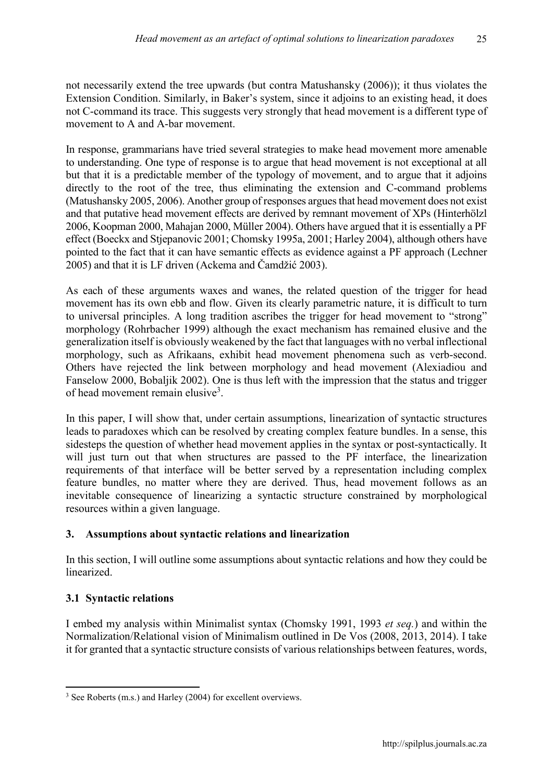not necessarily extend the tree upwards (but contra Matushansky (2006)); it thus violates the Extension Condition. Similarly, in Baker's system, since it adjoins to an existing head, it does not C-command its trace. This suggests very strongly that head movement is a different type of movement to A and A-bar movement.

In response, grammarians have tried several strategies to make head movement more amenable to understanding. One type of response is to argue that head movement is not exceptional at all but that it is a predictable member of the typology of movement, and to argue that it adjoins directly to the root of the tree, thus eliminating the extension and C-command problems (Matushansky 2005, 2006). Another group of responses argues that head movement does not exist and that putative head movement effects are derived by remnant movement of XPs (Hinterhölzl 2006, Koopman 2000, Mahajan 2000, Müller 2004). Others have argued that it is essentially a PF effect (Boeckx and Stjepanovic 2001; Chomsky 1995a, 2001; Harley 2004), although others have pointed to the fact that it can have semantic effects as evidence against a PF approach (Lechner 2005) and that it is LF driven (Ackema and Čamdžić 2003).

As each of these arguments waxes and wanes, the related question of the trigger for head movement has its own ebb and flow. Given its clearly parametric nature, it is difficult to turn to universal principles. A long tradition ascribes the trigger for head movement to "strong" morphology (Rohrbacher 1999) although the exact mechanism has remained elusive and the generalization itself is obviously weakened by the fact that languages with no verbal inflectional morphology, such as Afrikaans, exhibit head movement phenomena such as verb-second. Others have rejected the link between morphology and head movement (Alexiadiou and Fanselow 2000, Bobaljik 2002). One is thus left with the impression that the status and trigger of head movement remain elusive<sup>3</sup>.

In this paper, I will show that, under certain assumptions, linearization of syntactic structures leads to paradoxes which can be resolved by creating complex feature bundles. In a sense, this sidesteps the question of whether head movement applies in the syntax or post-syntactically. It will just turn out that when structures are passed to the PF interface, the linearization requirements of that interface will be better served by a representation including complex feature bundles, no matter where they are derived. Thus, head movement follows as an inevitable consequence of linearizing a syntactic structure constrained by morphological resources within a given language.

### **3. Assumptions about syntactic relations and linearization**

In this section, I will outline some assumptions about syntactic relations and how they could be linearized.

# **3.1 Syntactic relations**

I embed my analysis within Minimalist syntax (Chomsky 1991, 1993 *et seq.*) and within the Normalization/Relational vision of Minimalism outlined in De Vos (2008, 2013, 2014). I take it for granted that a syntactic structure consists of various relationships between features, words,

 $\overline{\phantom{a}}$ <sup>3</sup> See Roberts (m.s.) and Harley (2004) for excellent overviews.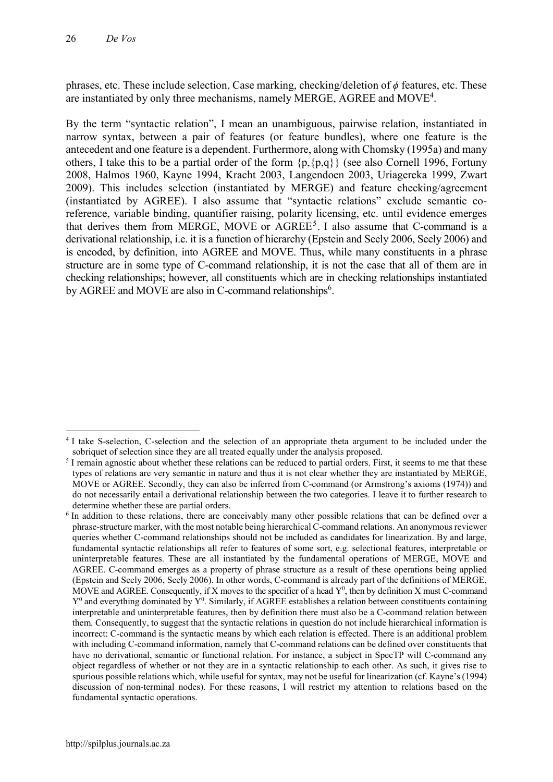phrases, etc. These include selection, Case marking, checking/deletion of *ϕ* features, etc. These are instantiated by only three mechanisms, namely MERGE, AGREE and MOVE<sup>4</sup>.

By the term "syntactic relation", I mean an unambiguous, pairwise relation, instantiated in narrow syntax, between a pair of features (or feature bundles), where one feature is the antecedent and one feature is a dependent. Furthermore, along with Chomsky (1995a) and many others, I take this to be a partial order of the form {p,{p,q}} (see also Cornell 1996, Fortuny 2008, Halmos 1960, Kayne 1994, Kracht 2003, Langendoen 2003, Uriagereka 1999, Zwart 2009). This includes selection (instantiated by MERGE) and feature checking/agreement (instantiated by AGREE). I also assume that "syntactic relations" exclude semantic coreference, variable binding, quantifier raising, polarity licensing, etc. until evidence emerges that derives them from MERGE, MOVE or  $AGREE<sup>5</sup>$ . I also assume that C-command is a derivational relationship, i.e. it is a function of hierarchy (Epstein and Seely 2006, Seely 2006) and is encoded, by definition, into AGREE and MOVE. Thus, while many constituents in a phrase structure are in some type of C-command relationship, it is not the case that all of them are in checking relationships; however, all constituents which are in checking relationships instantiated by AGREE and MOVE are also in C-command relationships<sup>6</sup>.

**<sup>.</sup>** <sup>4</sup> I take S-selection, C-selection and the selection of an appropriate theta argument to be included under the sobriquet of selection since they are all treated equally under the analysis proposed.

<sup>&</sup>lt;sup>5</sup> I remain agnostic about whether these relations can be reduced to partial orders. First, it seems to me that these types of relations are very semantic in nature and thus it is not clear whether they are instantiated by MERGE, MOVE or AGREE. Secondly, they can also be inferred from C-command (or Armstrong's axioms (1974)) and do not necessarily entail a derivational relationship between the two categories. I leave it to further research to determine whether these are partial orders.

<sup>6</sup> In addition to these relations, there are conceivably many other possible relations that can be defined over a phrase-structure marker, with the most notable being hierarchical C-command relations. An anonymous reviewer queries whether C-command relationships should not be included as candidates for linearization. By and large, fundamental syntactic relationships all refer to features of some sort, e.g. selectional features, interpretable or uninterpretable features. These are all instantiated by the fundamental operations of MERGE, MOVE and AGREE. C-command emerges as a property of phrase structure as a result of these operations being applied (Epstein and Seely 2006, Seely 2006). In other words, C-command is already part of the definitions of MERGE, MOVE and AGREE. Consequently, if X moves to the specifier of a head  $Y^0$ , then by definition X must C-command  $Y^0$  and everything dominated by  $Y^0$ . Similarly, if AGREE establishes a relation between constituents containing interpretable and uninterpretable features, then by definition there must also be a C-command relation between them. Consequently, to suggest that the syntactic relations in question do not include hierarchical information is incorrect: C-command is the syntactic means by which each relation is effected. There is an additional problem with including C-command information, namely that C-command relations can be defined over constituents that have no derivational, semantic or functional relation. For instance, a subject in SpecTP will C-command any object regardless of whether or not they are in a syntactic relationship to each other. As such, it gives rise to spurious possible relations which, while useful for syntax, may not be useful for linearization (cf. Kayne's (1994) discussion of non-terminal nodes). For these reasons, I will restrict my attention to relations based on the fundamental syntactic operations.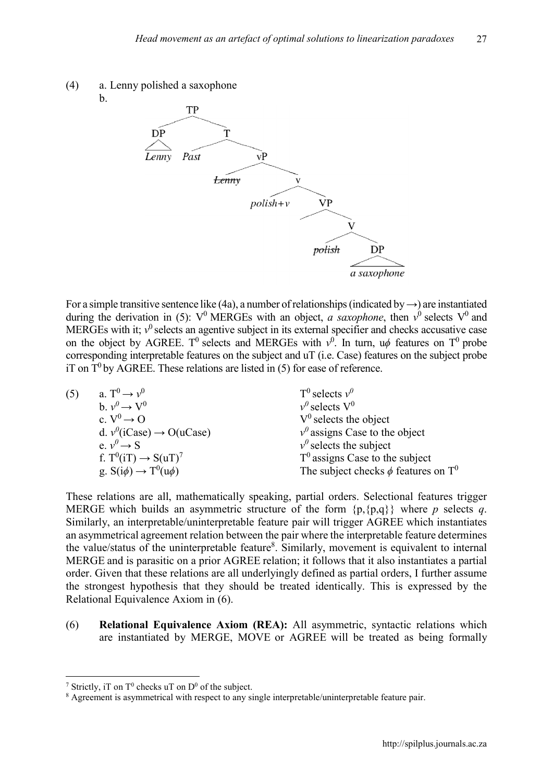



For a simple transitive sentence like (4a), a number of relationships (indicated by *→*) are instantiated during the derivation in (5):  $V^0$  MERGEs with an object, *a saxophone*, then  $v^0$  selects  $V^0$  and MERGEs with it;  $v^0$  selects an agentive subject in its external specifier and checks accusative case on the object by AGREE. T<sup>0</sup> selects and MERGEs with  $v^0$ . In turn, u $\phi$  features on T<sup>0</sup> probe corresponding interpretable features on the subject and uT (i.e. Case) features on the subject probe iT on  $T^0$  by AGREE. These relations are listed in (5) for ease of reference.

| (5) | a. $T^0 \rightarrow \nu^0$              | $T^0$ selects $v^0$                                  |
|-----|-----------------------------------------|------------------------------------------------------|
|     | $h v^0 \rightarrow V^0$                 | $v^0$ selects $V^0$                                  |
|     | c. $V^0 \rightarrow O$                  | $V^0$ selects the object                             |
|     | d. $v^0$ (iCase) $\rightarrow$ O(uCase) | $v^0$ assigns Case to the object                     |
|     | e. $v^0 \rightarrow S$                  | $v^{\theta}$ selects the subject                     |
|     | f. $T^0(iT) \rightarrow S(uT)^7$        | $T0$ assigns Case to the subject                     |
|     | g. $S(i\phi) \rightarrow T^0(u\phi)$    | The subject checks $\phi$ features on T <sup>0</sup> |

These relations are all, mathematically speaking, partial orders. Selectional features trigger MERGE which builds an asymmetric structure of the form  $\{p,\{p,q\}\}\$  where *p* selects *q*. Similarly, an interpretable/uninterpretable feature pair will trigger AGREE which instantiates an asymmetrical agreement relation between the pair where the interpretable feature determines the value/status of the uninterpretable feature<sup>8</sup>. Similarly, movement is equivalent to internal MERGE and is parasitic on a prior AGREE relation; it follows that it also instantiates a partial order. Given that these relations are all underlyingly defined as partial orders, I further assume the strongest hypothesis that they should be treated identically. This is expressed by the Relational Equivalence Axiom in (6).

(6) **Relational Equivalence Axiom (REA):** All asymmetric, syntactic relations which are instantiated by MERGE, MOVE or AGREE will be treated as being formally

1

<sup>&</sup>lt;sup>7</sup> Strictly, iT on  $T^0$  checks uT on  $D^0$  of the subject.

<sup>&</sup>lt;sup>8</sup> Agreement is asymmetrical with respect to any single interpretable/uninterpretable feature pair.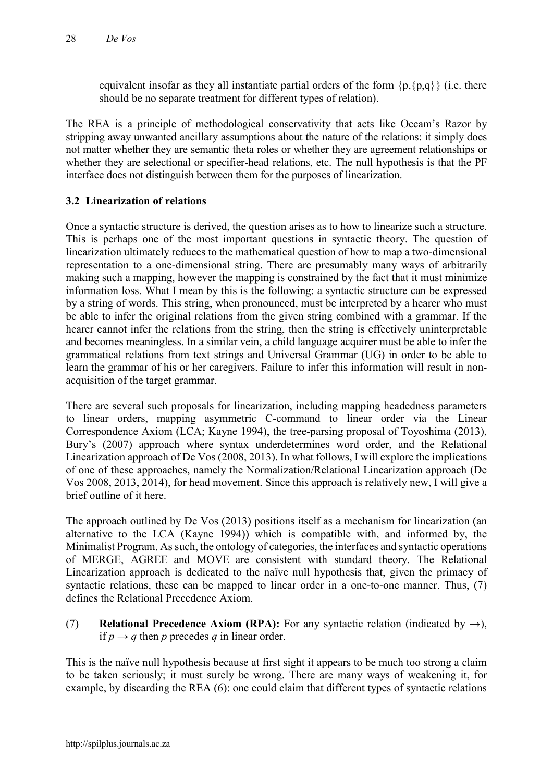equivalent insofar as they all instantiate partial orders of the form  ${p,\{p,q\}}$  (i.e. there should be no separate treatment for different types of relation).

The REA is a principle of methodological conservativity that acts like Occam's Razor by stripping away unwanted ancillary assumptions about the nature of the relations: it simply does not matter whether they are semantic theta roles or whether they are agreement relationships or whether they are selectional or specifier-head relations, etc. The null hypothesis is that the PF interface does not distinguish between them for the purposes of linearization.

### **3.2 Linearization of relations**

Once a syntactic structure is derived, the question arises as to how to linearize such a structure. This is perhaps one of the most important questions in syntactic theory. The question of linearization ultimately reduces to the mathematical question of how to map a two-dimensional representation to a one-dimensional string. There are presumably many ways of arbitrarily making such a mapping, however the mapping is constrained by the fact that it must minimize information loss. What I mean by this is the following: a syntactic structure can be expressed by a string of words. This string, when pronounced, must be interpreted by a hearer who must be able to infer the original relations from the given string combined with a grammar. If the hearer cannot infer the relations from the string, then the string is effectively uninterpretable and becomes meaningless. In a similar vein, a child language acquirer must be able to infer the grammatical relations from text strings and Universal Grammar (UG) in order to be able to learn the grammar of his or her caregivers. Failure to infer this information will result in nonacquisition of the target grammar.

There are several such proposals for linearization, including mapping headedness parameters to linear orders, mapping asymmetric C-command to linear order via the Linear Correspondence Axiom (LCA; Kayne 1994), the tree-parsing proposal of Toyoshima (2013), Bury's (2007) approach where syntax underdetermines word order, and the Relational Linearization approach of De Vos (2008, 2013). In what follows, I will explore the implications of one of these approaches, namely the Normalization/Relational Linearization approach (De Vos 2008, 2013, 2014), for head movement. Since this approach is relatively new, I will give a brief outline of it here.

The approach outlined by De Vos (2013) positions itself as a mechanism for linearization (an alternative to the LCA (Kayne 1994)) which is compatible with, and informed by, the Minimalist Program. As such, the ontology of categories, the interfaces and syntactic operations of MERGE, AGREE and MOVE are consistent with standard theory. The Relational Linearization approach is dedicated to the naïve null hypothesis that, given the primacy of syntactic relations, these can be mapped to linear order in a one-to-one manner. Thus, (7) defines the Relational Precedence Axiom.

(7) **Relational Precedence Axiom (RPA):** For any syntactic relation (indicated by *→*), if  $p \rightarrow q$  then p precedes q in linear order.

This is the naïve null hypothesis because at first sight it appears to be much too strong a claim to be taken seriously; it must surely be wrong. There are many ways of weakening it, for example, by discarding the REA (6): one could claim that different types of syntactic relations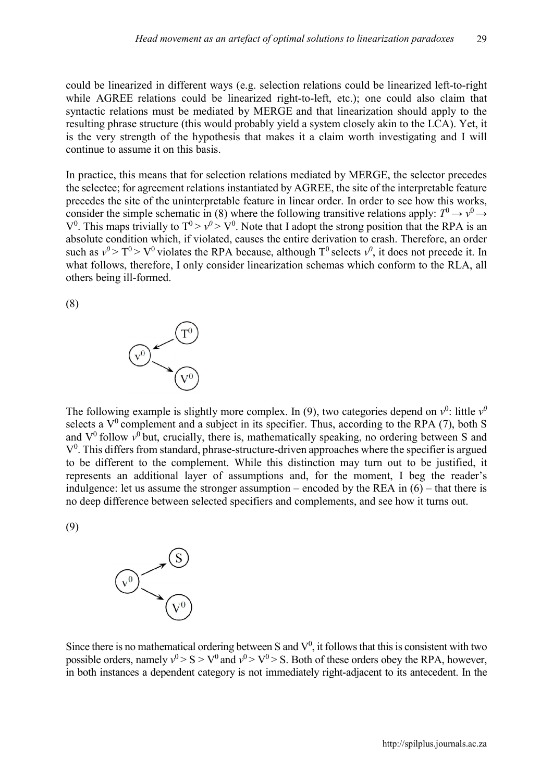could be linearized in different ways (e.g. selection relations could be linearized left-to-right while AGREE relations could be linearized right-to-left, etc.); one could also claim that syntactic relations must be mediated by MERGE and that linearization should apply to the resulting phrase structure (this would probably yield a system closely akin to the LCA). Yet, it is the very strength of the hypothesis that makes it a claim worth investigating and I will continue to assume it on this basis.

In practice, this means that for selection relations mediated by MERGE, the selector precedes the selectee; for agreement relations instantiated by AGREE, the site of the interpretable feature precedes the site of the uninterpretable feature in linear order. In order to see how this works, consider the simple schematic in (8) where the following transitive relations apply:  $T^0 \rightarrow \nu^0 \rightarrow$  $V^0$ . This maps trivially to  $T^0 > V^0 > V^0$ . Note that I adopt the strong position that the RPA is an absolute condition which, if violated, causes the entire derivation to crash. Therefore, an order such as  $v^0 > T^0 > V^0$  violates the RPA because, although T<sup>0</sup> selects  $v^0$ , it does not precede it. In what follows, therefore, I only consider linearization schemas which conform to the RLA, all others being ill-formed.

(8)



The following example is slightly more complex. In (9), two categories depend on  $v^0$ : little  $v^0$ selects a  $V^0$  complement and a subject in its specifier. Thus, according to the RPA (7), both S and  $V^0$  follow  $v^0$  but, crucially, there is, mathematically speaking, no ordering between S and  $V<sup>0</sup>$ . This differs from standard, phrase-structure-driven approaches where the specifier is argued to be different to the complement. While this distinction may turn out to be justified, it represents an additional layer of assumptions and, for the moment, I beg the reader's indulgence: let us assume the stronger assumption – encoded by the REA in  $(6)$  – that there is no deep difference between selected specifiers and complements, and see how it turns out.

(9)



Since there is no mathematical ordering between S and  $V^0$ , it follows that this is consistent with two possible orders, namely  $v^0 > S > V^0$  and  $v^0 > V^0 > S$ . Both of these orders obey the RPA, however, in both instances a dependent category is not immediately right-adjacent to its antecedent. In the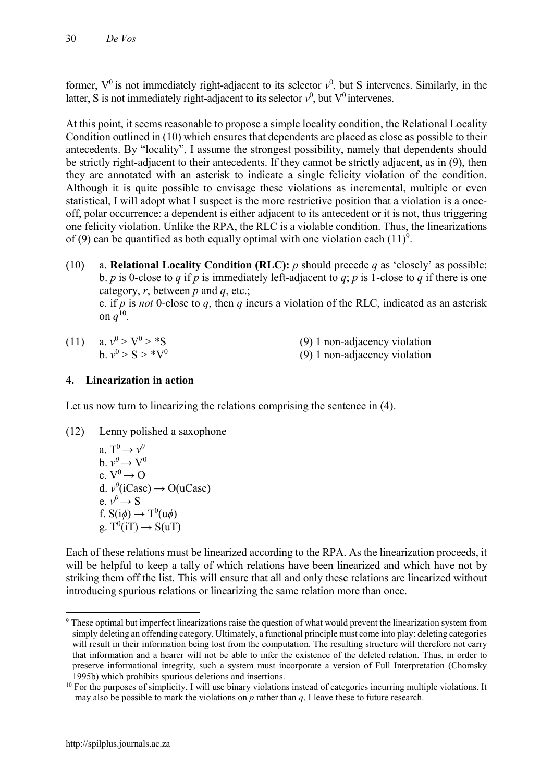former,  $V^0$  is not immediately right-adjacent to its selector  $v^0$ , but S intervenes. Similarly, in the latter, S is not immediately right-adjacent to its selector  $v^0$ , but  $V^0$  intervenes.

At this point, it seems reasonable to propose a simple locality condition, the Relational Locality Condition outlined in (10) which ensures that dependents are placed as close as possible to their antecedents. By "locality", I assume the strongest possibility, namely that dependents should be strictly right-adjacent to their antecedents. If they cannot be strictly adjacent, as in (9), then they are annotated with an asterisk to indicate a single felicity violation of the condition. Although it is quite possible to envisage these violations as incremental, multiple or even statistical, I will adopt what I suspect is the more restrictive position that a violation is a onceoff, polar occurrence: a dependent is either adjacent to its antecedent or it is not, thus triggering one felicity violation. Unlike the RPA, the RLC is a violable condition. Thus, the linearizations of (9) can be quantified as both equally optimal with one violation each  $(11)^9$ .

(10) a. **Relational Locality Condition (RLC):** *p* should precede *q* as 'closely' as possible; b. *p* is 0-close to *q* if *p* is immediately left-adjacent to *q*; *p* is 1-close to *q* if there is one category, *r*, between *p* and *q*, etc.; c. if *p* is *not* 0-close to *q*, then *q* incurs a violation of the RLC, indicated as an asterisk on  $q^{10}$ .

| (11) a. $v^0 > V^0 > *S$ | (9) 1 non-adjacency violation |
|--------------------------|-------------------------------|
| $h v^0 > S > *V^0$       | (9) 1 non-adjacency violation |

### **4. Linearization in action**

Let us now turn to linearizing the relations comprising the sentence in (4).

(12) Lenny polished a saxophone

a. 
$$
T^0 \rightarrow v^0
$$
  
\nb.  $v^0 \rightarrow V^0$   
\nc.  $V^0 \rightarrow O$   
\nd.  $v^0$ (iCase)  $\rightarrow O(uCase)$   
\ne.  $v^0 \rightarrow S$   
\nf.  $S(i\phi) \rightarrow T^0(u\phi)$   
\ng.  $T^0(iT) \rightarrow S(uT)$ 

Each of these relations must be linearized according to the RPA. As the linearization proceeds, it will be helpful to keep a tally of which relations have been linearized and which have not by striking them off the list. This will ensure that all and only these relations are linearized without introducing spurious relations or linearizing the same relation more than once.

**<sup>.</sup>** <sup>9</sup> These optimal but imperfect linearizations raise the question of what would prevent the linearization system from simply deleting an offending category. Ultimately, a functional principle must come into play: deleting categories will result in their information being lost from the computation. The resulting structure will therefore not carry that information and a hearer will not be able to infer the existence of the deleted relation. Thus, in order to preserve informational integrity, such a system must incorporate a version of Full Interpretation (Chomsky 1995b) which prohibits spurious deletions and insertions.

<sup>&</sup>lt;sup>10</sup> For the purposes of simplicity, I will use binary violations instead of categories incurring multiple violations. It may also be possible to mark the violations on *p* rather than *q*. I leave these to future research.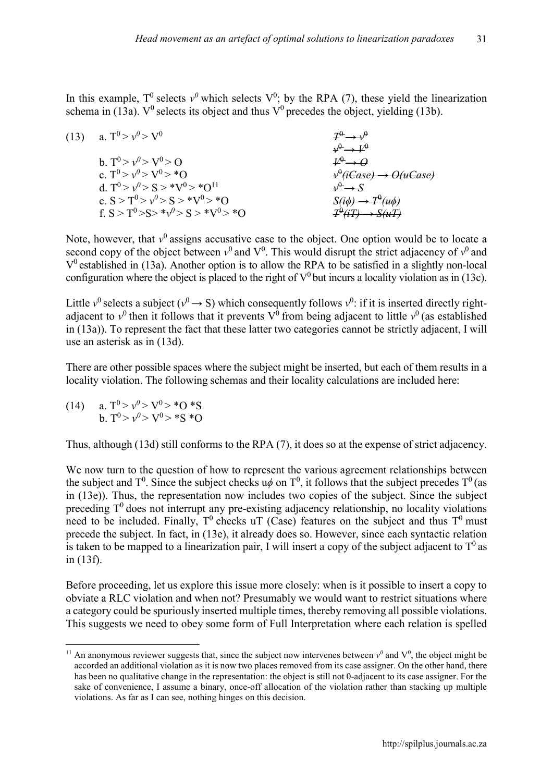In this example,  $T^0$  selects  $v^0$  which selects  $V^0$ ; by the RPA (7), these yield the linearization schema in (13a).  $V^0$  selects its object and thus  $V^0$  precedes the object, yielding (13b).

(13) a.  $T^0 > v^0 > V^0$  $v^{\theta} \rightarrow V^{\theta}$ b.  $T^0 > v^0 > V^0 > O$ <br>c.  $T^0 > v^0 > V^0 > *O$ c.  $T^0 > v^0 > V^0 > *O$  $\psi^{\theta}$ (*iCase*)  $\rightarrow$  *O*(*uCase*) d.  $T^0 > v^0 > S > *V^0 > *O^{11}$   $v^0 \to S$ e.  $S > T^0 > v^0 > S > *V^0 > *O$  *S(i* $\phi$ *)*  $\rightarrow T^0$ *(uϕ)* f.  $S > T^0 > S > *v^0 > S > *V^0 > *O$  *T*<sup>0</sup>  $(iT) \rightarrow S(uT)$ 

Note, however, that  $v^0$  assigns accusative case to the object. One option would be to locate a second copy of the object between  $v^0$  and  $V^0$ . This would disrupt the strict adjacency of  $v^0$  and  $V<sup>0</sup>$  established in (13a). Another option is to allow the RPA to be satisfied in a slightly non-local configuration where the object is placed to the right of  $V^0$  but incurs a locality violation as in (13c).

Little  $v^0$  selects a subject ( $v^0 \rightarrow S$ ) which consequently follows  $v^0$ : if it is inserted directly rightadjacent to  $v^0$  then it follows that it prevents  $V^0$  from being adjacent to little  $v^0$  (as established in (13a)). To represent the fact that these latter two categories cannot be strictly adjacent, I will use an asterisk as in (13d).

There are other possible spaces where the subject might be inserted, but each of them results in a locality violation. The following schemas and their locality calculations are included here:

(14) a.  $T^0 > v^0 > V^0 > *O *S$ b.  $T^0 > v^0 > V^0 > *S *O$ 

Thus, although (13d) still conforms to the RPA (7), it does so at the expense of strict adjacency.

We now turn to the question of how to represent the various agreement relationships between the subject and T<sup>0</sup>. Since the subject checks  $u\phi$  on T<sup>0</sup>, it follows that the subject precedes T<sup>0</sup> (as in (13e)). Thus, the representation now includes two copies of the subject. Since the subject preceding  $T<sup>0</sup>$  does not interrupt any pre-existing adjacency relationship, no locality violations need to be included. Finally,  $T^0$  checks uT (Case) features on the subject and thus  $T^0$  must precede the subject. In fact, in (13e), it already does so. However, since each syntactic relation is taken to be mapped to a linearization pair, I will insert a copy of the subject adjacent to  $T^0$  as in (13f).

Before proceeding, let us explore this issue more closely: when is it possible to insert a copy to obviate a RLC violation and when not? Presumably we would want to restrict situations where a category could be spuriously inserted multiple times, thereby removing all possible violations. This suggests we need to obey some form of Full Interpretation where each relation is spelled

**<sup>.</sup>** <sup>11</sup> An anonymous reviewer suggests that, since the subject now intervenes between  $v^0$  and  $V^0$ , the object might be accorded an additional violation as it is now two places removed from its case assigner. On the other hand, there has been no qualitative change in the representation: the object is still not 0-adjacent to its case assigner. For the sake of convenience, I assume a binary, once-off allocation of the violation rather than stacking up multiple violations. As far as I can see, nothing hinges on this decision.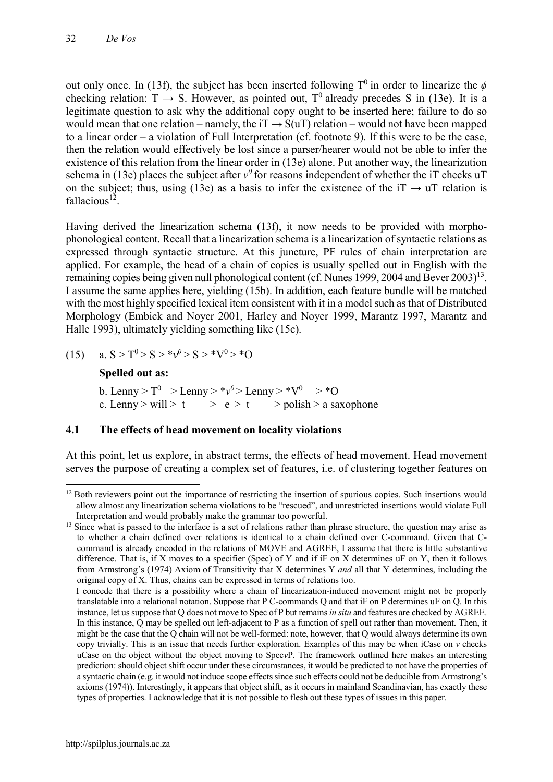out only once. In (13f), the subject has been inserted following  $T^0$  in order to linearize the  $\phi$ checking relation:  $T \rightarrow S$ . However, as pointed out,  $T^0$  already precedes S in (13e). It is a legitimate question to ask why the additional copy ought to be inserted here; failure to do so would mean that one relation – namely, the iT  $\rightarrow$  S(uT) relation – would not have been mapped to a linear order – a violation of Full Interpretation (cf. footnote 9). If this were to be the case, then the relation would effectively be lost since a parser/hearer would not be able to infer the existence of this relation from the linear order in (13e) alone. Put another way, the linearization schema in (13e) places the subject after  $v^0$  for reasons independent of whether the iT checks uT on the subject; thus, using (13e) as a basis to infer the existence of the iT  $\rightarrow$  uT relation is fallacious<sup>12</sup>

Having derived the linearization schema (13f), it now needs to be provided with morphophonological content. Recall that a linearization schema is a linearization of syntactic relations as expressed through syntactic structure. At this juncture, PF rules of chain interpretation are applied. For example, the head of a chain of copies is usually spelled out in English with the remaining copies being given null phonological content (cf. Nunes 1999, 2004 and Bever 2003)<sup>13</sup>. I assume the same applies here, yielding (15b). In addition, each feature bundle will be matched with the most highly specified lexical item consistent with it in a model such as that of Distributed Morphology (Embick and Noyer 2001, Harley and Noyer 1999, Marantz 1997, Marantz and Halle 1993), ultimately yielding something like (15c).

(15) a.  $S > T^0 > S > *v^0 > S > *V^0 > *O$ 

### **Spelled out as:**

b. Lenny >  $T^0$  > Lenny >  $*\nu^0$  > Lenny >  $*\nu^0$  >  $*\nu$ c. Lenny > will > t > e > t > polish > a saxophone

### **4.1 The effects of head movement on locality violations**

At this point, let us explore, in abstract terms, the effects of head movement. Head movement serves the purpose of creating a complex set of features, i.e. of clustering together features on

**<sup>.</sup>** <sup>12</sup> Both reviewers point out the importance of restricting the insertion of spurious copies. Such insertions would allow almost any linearization schema violations to be "rescued", and unrestricted insertions would violate Full Interpretation and would probably make the grammar too powerful.

<sup>&</sup>lt;sup>13</sup> Since what is passed to the interface is a set of relations rather than phrase structure, the question may arise as to whether a chain defined over relations is identical to a chain defined over C-command. Given that Ccommand is already encoded in the relations of MOVE and AGREE, I assume that there is little substantive difference. That is, if X moves to a specifier (Spec) of Y and if iF on X determines uF on Y, then it follows from Armstrong's (1974) Axiom of Transitivity that X determines Y *and* all that Y determines, including the original copy of X. Thus, chains can be expressed in terms of relations too.

I concede that there is a possibility where a chain of linearization-induced movement might not be properly translatable into a relational notation. Suppose that P C-commands Q and that iF on P determines uF on Q. In this instance, let us suppose that Q does not move to Spec of P but remains *in situ* and features are checked by AGREE. In this instance, Q may be spelled out left-adjacent to P as a function of spell out rather than movement. Then, it might be the case that the Q chain will not be well-formed: note, however, that Q would always determine its own copy trivially. This is an issue that needs further exploration. Examples of this may be when iCase on *v* checks uCase on the object without the object moving to Spec*v*P. The framework outlined here makes an interesting prediction: should object shift occur under these circumstances, it would be predicted to not have the properties of a syntactic chain (e.g. it would not induce scope effects since such effects could not be deducible from Armstrong's axioms (1974)). Interestingly, it appears that object shift, as it occurs in mainland Scandinavian, has exactly these types of properties. I acknowledge that it is not possible to flesh out these types of issues in this paper.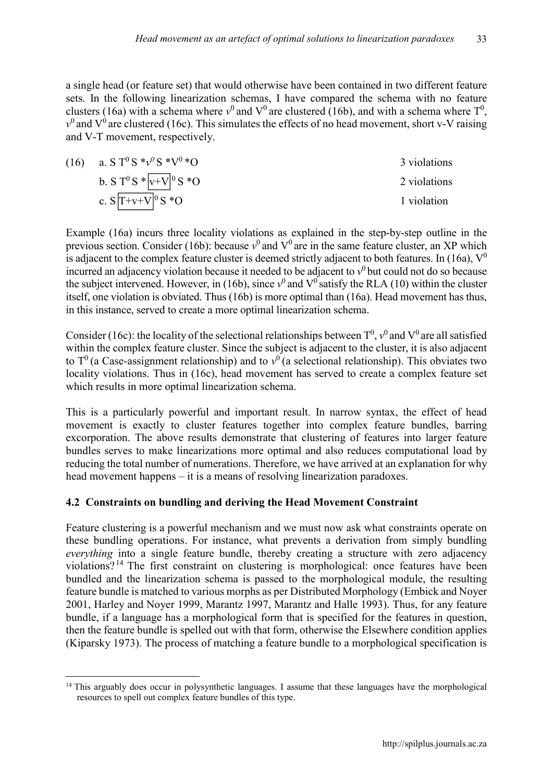a single head (or feature set) that would otherwise have been contained in two different feature sets. In the following linearization schemas, I have compared the schema with no feature clusters (16a) with a schema where  $v^0$  and  $V^0$  are clustered (16b), and with a schema where  $T^0$ ,  $v<sup>0</sup>$  and V<sup>0</sup> are clustered (16c). This simulates the effects of no head movement, short v-V raising and V-T movement, respectively.

(16) a.  $S T^0 S^* v^0 S^* V^0 * O$  3 violations b. S T<sup>0</sup> S \*  $|v+V|$ <sup>0</sup> S \* O 2 violations c.  $S[T+v+V]^0 S^*O$  1 violation

Example (16a) incurs three locality violations as explained in the step-by-step outline in the previous section. Consider (16b): because  $v^0$  and  $V^0$  are in the same feature cluster, an XP which is adjacent to the complex feature cluster is deemed strictly adjacent to both features. In (16a),  $V^0$ incurred an adjacency violation because it needed to be adjacent to  $v<sup>0</sup>$  but could not do so because the subject intervened. However, in (16b), since  $v^0$  and  $V^0$  satisfy the RLA (10) within the cluster itself, one violation is obviated. Thus (16b) is more optimal than (16a). Head movement has thus, in this instance, served to create a more optimal linearization schema.

Consider (16c): the locality of the selectional relationships between  $T^0$ ,  $v^0$  and  $V^0$  are all satisfied within the complex feature cluster. Since the subject is adjacent to the cluster, it is also adjacent to  $T^0$  (a Case-assignment relationship) and to  $v^0$  (a selectional relationship). This obviates two locality violations. Thus in (16c), head movement has served to create a complex feature set which results in more optimal linearization schema.

This is a particularly powerful and important result. In narrow syntax, the effect of head movement is exactly to cluster features together into complex feature bundles, barring excorporation. The above results demonstrate that clustering of features into larger feature bundles serves to make linearizations more optimal and also reduces computational load by reducing the total number of numerations. Therefore, we have arrived at an explanation for why head movement happens – it is a means of resolving linearization paradoxes.

### **4.2 Constraints on bundling and deriving the Head Movement Constraint**

Feature clustering is a powerful mechanism and we must now ask what constraints operate on these bundling operations. For instance, what prevents a derivation from simply bundling *everything* into a single feature bundle, thereby creating a structure with zero adjacency violations? <sup>14</sup> The first constraint on clustering is morphological: once features have been bundled and the linearization schema is passed to the morphological module, the resulting feature bundle is matched to various morphs as per Distributed Morphology (Embick and Noyer 2001, Harley and Noyer 1999, Marantz 1997, Marantz and Halle 1993). Thus, for any feature bundle, if a language has a morphological form that is specified for the features in question, then the feature bundle is spelled out with that form, otherwise the Elsewhere condition applies (Kiparsky 1973). The process of matching a feature bundle to a morphological specification is

<sup>1</sup> <sup>14</sup> This arguably does occur in polysynthetic languages. I assume that these languages have the morphological resources to spell out complex feature bundles of this type.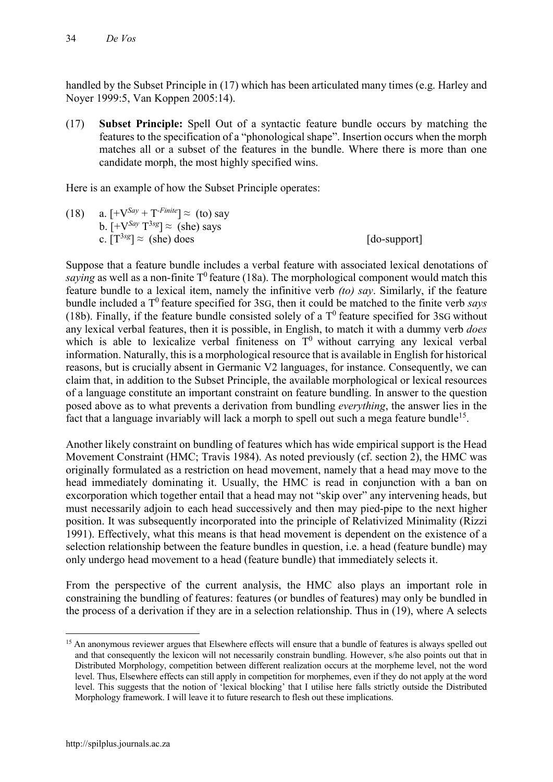handled by the Subset Principle in (17) which has been articulated many times (e.g. Harley and Noyer 1999:5, Van Koppen 2005:14).

(17) **Subset Principle:** Spell Out of a syntactic feature bundle occurs by matching the features to the specification of a "phonological shape". Insertion occurs when the morph matches all or a subset of the features in the bundle. Where there is more than one candidate morph, the most highly specified wins.

Here is an example of how the Subset Principle operates:

(18) a.  $[+V^{Say} + T^{-Finite}] \approx$  (to) say b.  $[+V^{Say} T^{3sg}] \approx$  (she) says c.  $[T^{3sg}] \approx$  (she) does [do-support]

Suppose that a feature bundle includes a verbal feature with associated lexical denotations of *saying* as well as a non-finite  $T^0$  feature (18a). The morphological component would match this feature bundle to a lexical item, namely the infinitive verb *(to) say*. Similarly, if the feature bundle included a  $T^0$  feature specified for 3sG, then it could be matched to the finite verb *says* (18b). Finally, if the feature bundle consisted solely of a  $T<sup>0</sup>$  feature specified for 3sG without any lexical verbal features, then it is possible, in English, to match it with a dummy verb *does* which is able to lexicalize verbal finiteness on  $T<sup>0</sup>$  without carrying any lexical verbal information. Naturally, this is a morphological resource that is available in English for historical reasons, but is crucially absent in Germanic V2 languages, for instance. Consequently, we can claim that, in addition to the Subset Principle, the available morphological or lexical resources of a language constitute an important constraint on feature bundling. In answer to the question posed above as to what prevents a derivation from bundling *everything*, the answer lies in the fact that a language invariably will lack a morph to spell out such a mega feature bundle<sup>15</sup>.

Another likely constraint on bundling of features which has wide empirical support is the Head Movement Constraint (HMC; Travis 1984). As noted previously (cf. section 2), the HMC was originally formulated as a restriction on head movement, namely that a head may move to the head immediately dominating it. Usually, the HMC is read in conjunction with a ban on excorporation which together entail that a head may not "skip over" any intervening heads, but must necessarily adjoin to each head successively and then may pied-pipe to the next higher position. It was subsequently incorporated into the principle of Relativized Minimality (Rizzi 1991). Effectively, what this means is that head movement is dependent on the existence of a selection relationship between the feature bundles in question, i.e. a head (feature bundle) may only undergo head movement to a head (feature bundle) that immediately selects it.

From the perspective of the current analysis, the HMC also plays an important role in constraining the bundling of features: features (or bundles of features) may only be bundled in the process of a derivation if they are in a selection relationship. Thus in (19), where A selects

1

<sup>&</sup>lt;sup>15</sup> An anonymous reviewer argues that Elsewhere effects will ensure that a bundle of features is always spelled out and that consequently the lexicon will not necessarily constrain bundling. However, s/he also points out that in Distributed Morphology, competition between different realization occurs at the morpheme level, not the word level. Thus, Elsewhere effects can still apply in competition for morphemes, even if they do not apply at the word level. This suggests that the notion of 'lexical blocking' that I utilise here falls strictly outside the Distributed Morphology framework. I will leave it to future research to flesh out these implications.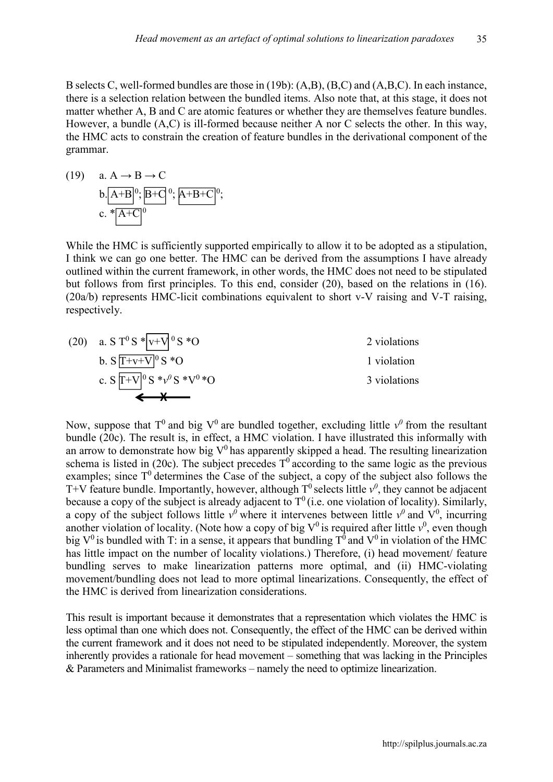B selects C, well-formed bundles are those in (19b): (A,B), (B,C) and (A,B,C). In each instance, there is a selection relation between the bundled items. Also note that, at this stage, it does not matter whether A, B and C are atomic features or whether they are themselves feature bundles. However, a bundle (A,C) is ill-formed because neither A nor C selects the other. In this way, the HMC acts to constrain the creation of feature bundles in the derivational component of the grammar.

(19) a. 
$$
A \rightarrow B \rightarrow C
$$
  
b.  $(A+B)^0$ ,  $(B+C)^0$ ,  $(A+B+C)^0$ ,  
c.  $*(A+C)^0$ 

While the HMC is sufficiently supported empirically to allow it to be adopted as a stipulation, I think we can go one better. The HMC can be derived from the assumptions I have already outlined within the current framework, in other words, the HMC does not need to be stipulated but follows from first principles. To this end, consider (20), based on the relations in (16). (20a/b) represents HMC-licit combinations equivalent to short v-V raising and V-T raising, respectively.



Now, suppose that  $T^0$  and big  $V^0$  are bundled together, excluding little  $v^0$  from the resultant bundle (20c). The result is, in effect, a HMC violation. I have illustrated this informally with an arrow to demonstrate how big  $V^0$  has apparently skipped a head. The resulting linearization schema is listed in (20c). The subject precedes  $T^0$  according to the same logic as the previous examples; since  $T^0$  determines the Case of the subject, a copy of the subject also follows the T+V feature bundle. Importantly, however, although  $T^0$  selects little  $v^0$ , they cannot be adjacent because a copy of the subject is already adjacent to  $T^0$  (i.e. one violation of locality). Similarly, a copy of the subject follows little  $v^0$  where it intervenes between little  $v^0$  and  $V^0$ , incurring another violation of locality. (Note how a copy of big  $V^0$  is required after little  $v^0$ , even though big  $V^0$  is bundled with T: in a sense, it appears that bundling  $T^0$  and  $V^0$  in violation of the HMC has little impact on the number of locality violations.) Therefore, (i) head movement/ feature bundling serves to make linearization patterns more optimal, and (ii) HMC-violating movement/bundling does not lead to more optimal linearizations. Consequently, the effect of the HMC is derived from linearization considerations.

This result is important because it demonstrates that a representation which violates the HMC is less optimal than one which does not. Consequently, the effect of the HMC can be derived within the current framework and it does not need to be stipulated independently. Moreover, the system inherently provides a rationale for head movement – something that was lacking in the Principles & Parameters and Minimalist frameworks – namely the need to optimize linearization.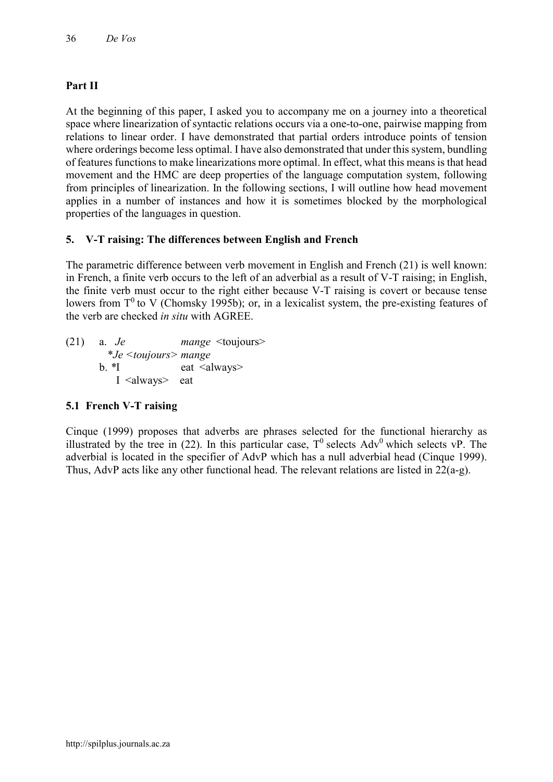# **Part II**

At the beginning of this paper, I asked you to accompany me on a journey into a theoretical space where linearization of syntactic relations occurs via a one-to-one, pairwise mapping from relations to linear order. I have demonstrated that partial orders introduce points of tension where orderings become less optimal. I have also demonstrated that under this system, bundling of features functions to make linearizations more optimal. In effect, what this means is that head movement and the HMC are deep properties of the language computation system, following from principles of linearization. In the following sections, I will outline how head movement applies in a number of instances and how it is sometimes blocked by the morphological properties of the languages in question.

# **5. V-T raising: The differences between English and French**

The parametric difference between verb movement in English and French (21) is well known: in French, a finite verb occurs to the left of an adverbial as a result of V-T raising; in English, the finite verb must occur to the right either because V-T raising is covert or because tense lowers from  $T^0$  to V (Chomsky 1995b); or, in a lexicalist system, the pre-existing features of the verb are checked *in situ* with AGREE.

(21) a. *Je mange* <toujours> \**Je <toujours> mange* b.  $*$ I eat <always> I <always> eat

### **5.1 French V-T raising**

Cinque (1999) proposes that adverbs are phrases selected for the functional hierarchy as illustrated by the tree in (22). In this particular case,  $T^0$  selects Adv<sup>0</sup> which selects vP. The adverbial is located in the specifier of AdvP which has a null adverbial head (Cinque 1999). Thus, AdvP acts like any other functional head. The relevant relations are listed in 22(a-g).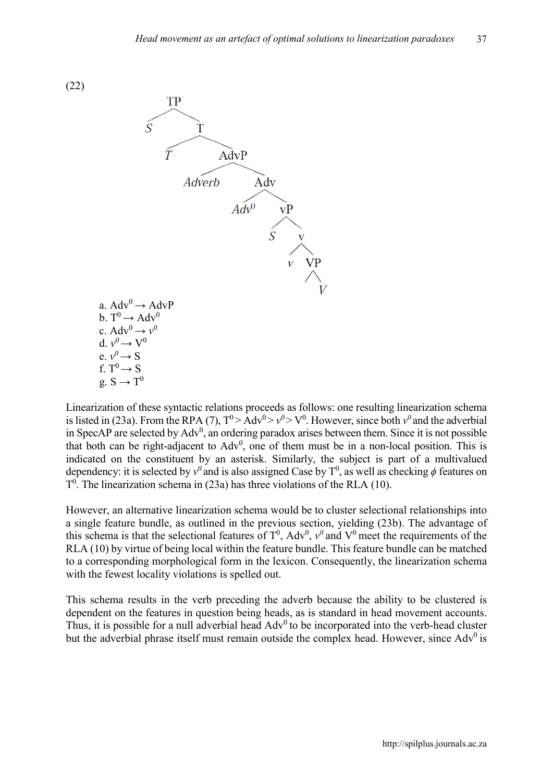(22)



Linearization of these syntactic relations proceeds as follows: one resulting linearization schema is listed in (23a). From the RPA (7),  $T^0$  > Adv<sup>0</sup> >  $v^0$  > V<sup>0</sup>. However, since both  $v^0$  and the adverbial in SpecAP are selected by  $Adv<sup>0</sup>$ , an ordering paradox arises between them. Since it is not possible that both can be right-adjacent to  $Adv<sup>0</sup>$ , one of them must be in a non-local position. This is indicated on the constituent by an asterisk. Similarly, the subject is part of a multivalued dependency: it is selected by  $v^0$  and is also assigned Case by  $T^0$ , as well as checking  $\phi$  features on  $T<sup>0</sup>$ . The linearization schema in (23a) has three violations of the RLA (10).

However, an alternative linearization schema would be to cluster selectional relationships into a single feature bundle, as outlined in the previous section, yielding (23b). The advantage of this schema is that the selectional features of  $T^0$ ,  $Adv^0$ ,  $v^0$  and  $V^0$  meet the requirements of the RLA (10) by virtue of being local within the feature bundle. This feature bundle can be matched to a corresponding morphological form in the lexicon. Consequently, the linearization schema with the fewest locality violations is spelled out.

This schema results in the verb preceding the adverb because the ability to be clustered is dependent on the features in question being heads, as is standard in head movement accounts. Thus, it is possible for a null adverbial head  $Adv<sup>0</sup>$  to be incorporated into the verb-head cluster but the adverbial phrase itself must remain outside the complex head. However, since Adv<sup>0</sup> is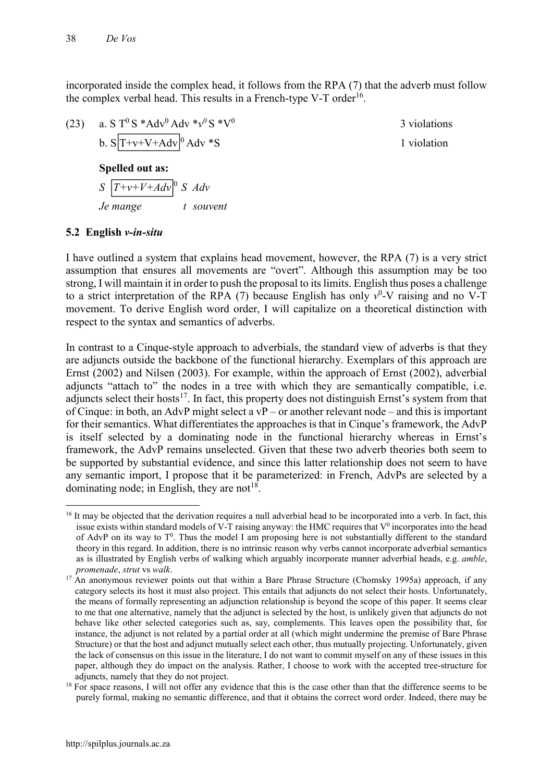incorporated inside the complex head, it follows from the RPA (7) that the adverb must follow the complex verbal head. This results in a French-type V-T order<sup>16</sup>.

(23) a. S T0 S \*Adv0 Adv \**v0* S \*V0 3 violations b. S T+v+V+Adv 0 Adv \*S 1 violation

#### **Spelled out as:**

 $S\left[T+v+V+Adv\right]^0 S Adv$ *Je mange t souvent*

#### **5.2 English** *v-in-situ*

I have outlined a system that explains head movement, however, the RPA (7) is a very strict assumption that ensures all movements are "overt". Although this assumption may be too strong, I will maintain it in order to push the proposal to its limits. English thus poses a challenge to a strict interpretation of the RPA  $(7)$  because English has only  $v^0$ -V raising and no V-T movement. To derive English word order, I will capitalize on a theoretical distinction with respect to the syntax and semantics of adverbs.

In contrast to a Cinque-style approach to adverbials, the standard view of adverbs is that they are adjuncts outside the backbone of the functional hierarchy. Exemplars of this approach are Ernst (2002) and Nilsen (2003). For example, within the approach of Ernst (2002), adverbial adjuncts "attach to" the nodes in a tree with which they are semantically compatible, i.e. adjuncts select their hosts<sup>17</sup>. In fact, this property does not distinguish Ernst's system from that of Cinque: in both, an AdvP might select a vP – or another relevant node – and this is important for their semantics. What differentiates the approaches is that in Cinque's framework, the AdvP is itself selected by a dominating node in the functional hierarchy whereas in Ernst's framework, the AdvP remains unselected. Given that these two adverb theories both seem to be supported by substantial evidence, and since this latter relationship does not seem to have any semantic import, I propose that it be parameterized: in French, AdvPs are selected by a dominating node; in English, they are not<sup>18</sup>.

**<sup>.</sup>** <sup>16</sup> It may be objected that the derivation requires a null adverbial head to be incorporated into a verb. In fact, this issue exists within standard models of V-T raising anyway: the HMC requires that  $V^0$  incorporates into the head of AdvP on its way to  $T^0$ . Thus the model I am proposing here is not substantially different to the standard theory in this regard. In addition, there is no intrinsic reason why verbs cannot incorporate adverbial semantics as is illustrated by English verbs of walking which arguably incorporate manner adverbial heads, e.g. *amble*, *promenade*, *strut* vs *walk*.

 $17$  An anonymous reviewer points out that within a Bare Phrase Structure (Chomsky 1995a) approach, if any category selects its host it must also project. This entails that adjuncts do not select their hosts. Unfortunately, the means of formally representing an adjunction relationship is beyond the scope of this paper. It seems clear to me that one alternative, namely that the adjunct is selected by the host, is unlikely given that adjuncts do not behave like other selected categories such as, say, complements. This leaves open the possibility that, for instance, the adjunct is not related by a partial order at all (which might undermine the premise of Bare Phrase Structure) or that the host and adjunct mutually select each other, thus mutually projecting. Unfortunately, given the lack of consensus on this issue in the literature, I do not want to commit myself on any of these issues in this paper, although they do impact on the analysis. Rather, I choose to work with the accepted tree-structure for adjuncts, namely that they do not project.

 $18$  For space reasons, I will not offer any evidence that this is the case other than that the difference seems to be purely formal, making no semantic difference, and that it obtains the correct word order. Indeed, there may be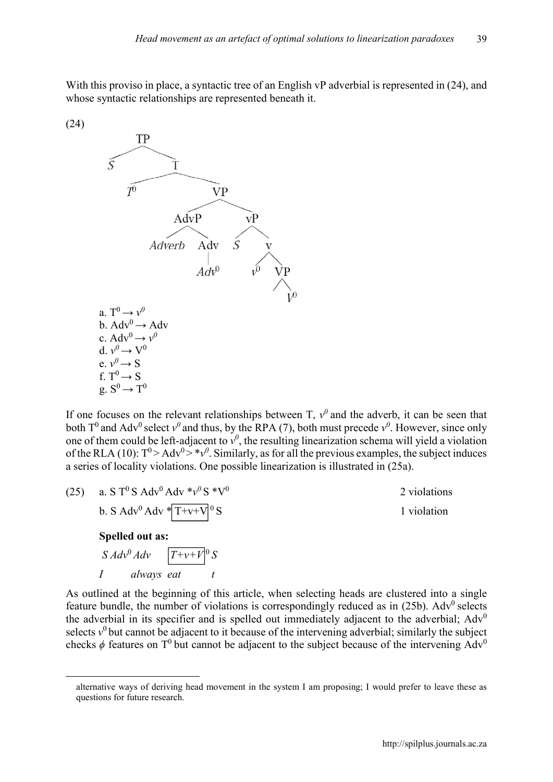With this proviso in place, a syntactic tree of an English vP adverbial is represented in  $(24)$ , and whose syntactic relationships are represented beneath it.



1



If one focuses on the relevant relationships between  $T$ ,  $v^0$  and the adverb, it can be seen that both  $T^0$  and Adv<sup>0</sup> select  $v^0$  and thus, by the RPA (7), both must precede  $v^0$ . However, since only one of them could be left-adjacent to  $v^0$ , the resulting linearization schema will yield a violation of the RLA (10):  $T^0$  > Adv<sup>0</sup> > \**v*<sup>0</sup>. Similarly, as for all the previous examples, the subject induces a series of locality violations. One possible linearization is illustrated in (25a).

| (25) | a. S T <sup>0</sup> S Adv <sup>0</sup> Adv $*v^0$ S $*V^0$ | 2 violations |
|------|------------------------------------------------------------|--------------|
|      | b. S Adv <sup>0</sup> Adv $\sqrt{\frac{1 + v + V}{0}S}$    | 1 violation  |
|      | Spelled out as:                                            |              |
|      | $S Adv^0 Adv \qquad  T+v+V ^0 S$                           |              |
|      | always eat                                                 |              |

As outlined at the beginning of this article, when selecting heads are clustered into a single feature bundle, the number of violations is correspondingly reduced as in  $(25b)$ . Adv<sup>0</sup> selects the adverbial in its specifier and is spelled out immediately adjacent to the adverbial;  $Adv<sup>0</sup>$ selects  $v^0$  but cannot be adjacent to it because of the intervening adverbial; similarly the subject checks  $\phi$  features on T<sup>0</sup> but cannot be adjacent to the subject because of the intervening Adv<sup>0</sup>

alternative ways of deriving head movement in the system I am proposing; I would prefer to leave these as questions for future research.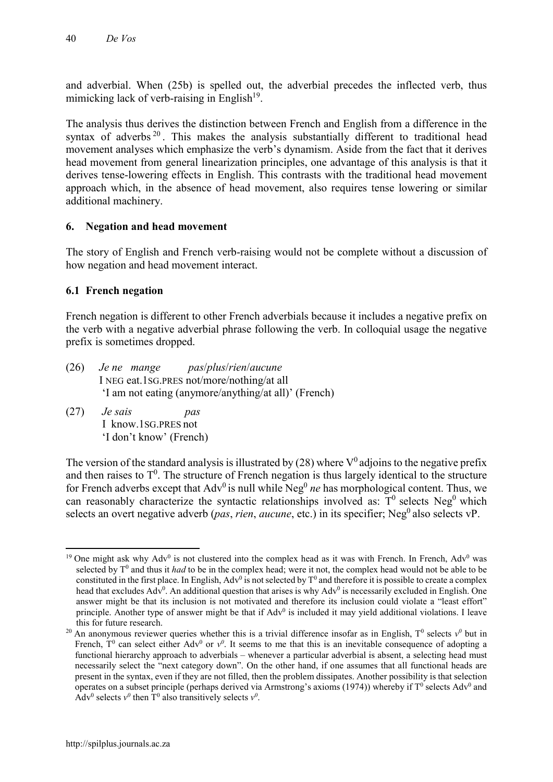and adverbial. When (25b) is spelled out, the adverbial precedes the inflected verb, thus mimicking lack of verb-raising in English $19$ .

The analysis thus derives the distinction between French and English from a difference in the syntax of adverbs<sup>20</sup>. This makes the analysis substantially different to traditional head movement analyses which emphasize the verb's dynamism. Aside from the fact that it derives head movement from general linearization principles, one advantage of this analysis is that it derives tense-lowering effects in English. This contrasts with the traditional head movement approach which, in the absence of head movement, also requires tense lowering or similar additional machinery.

### **6. Negation and head movement**

The story of English and French verb-raising would not be complete without a discussion of how negation and head movement interact.

#### **6.1 French negation**

French negation is different to other French adverbials because it includes a negative prefix on the verb with a negative adverbial phrase following the verb. In colloquial usage the negative prefix is sometimes dropped.

- (26) *Je ne mange pas*/*plus*/*rien*/*aucune* I NEG eat.1SG.PRES not/more/nothing/at all 'I am not eating (anymore/anything/at all)' (French)
- (27) *Je sais pas* I know.1SG.PRES not 'I don't know' (French)

The version of the standard analysis is illustrated by (28) where  $V^0$  adjoins to the negative prefix and then raises to  $T^0$ . The structure of French negation is thus largely identical to the structure for French adverbs except that  $Adv^0$  is null while  $Neg^0$  *ne* has morphological content. Thus, we can reasonably characterize the syntactic relationships involved as:  $T^0$  selects Neg<sup>0</sup> which selects an overt negative adverb (*pas, rien, aucune, etc.*) in its specifier; Neg<sup>0</sup> also selects vP.

**<sup>.</sup>** <sup>19</sup> One might ask why  $Adv^0$  is not clustered into the complex head as it was with French. In French,  $Adv^0$  was selected by T<sup>0</sup> and thus it *had* to be in the complex head; were it not, the complex head would not be able to be constituted in the first place. In English, Adv<sup>0</sup> is not selected by  $T^0$  and therefore it is possible to create a complex head that excludes  $Adv^0$ . An additional question that arises is why  $Adv^0$  is necessarily excluded in English. One answer might be that its inclusion is not motivated and therefore its inclusion could violate a "least effort" principle. Another type of answer might be that if  $Adv<sup>0</sup>$  is included it may yield additional violations. I leave this for future research.

<sup>&</sup>lt;sup>20</sup> An anonymous reviewer queries whether this is a trivial difference insofar as in English,  $T^0$  selects  $v^0$  but in French,  $T^0$  can select either Adv<sup>0</sup> or  $v^0$ . It seems to me that this is an inevitable consequence of adopting a functional hierarchy approach to adverbials – whenever a particular adverbial is absent, a selecting head must necessarily select the "next category down". On the other hand, if one assumes that all functional heads are present in the syntax, even if they are not filled, then the problem dissipates. Another possibility is that selection operates on a subset principle (perhaps derived via Armstrong's axioms (1974)) whereby if  $T^0$  selects Adv<sup>0</sup> and Adv<sup>0</sup> selects  $v^0$  then T<sup>0</sup> also transitively selects  $v^0$ .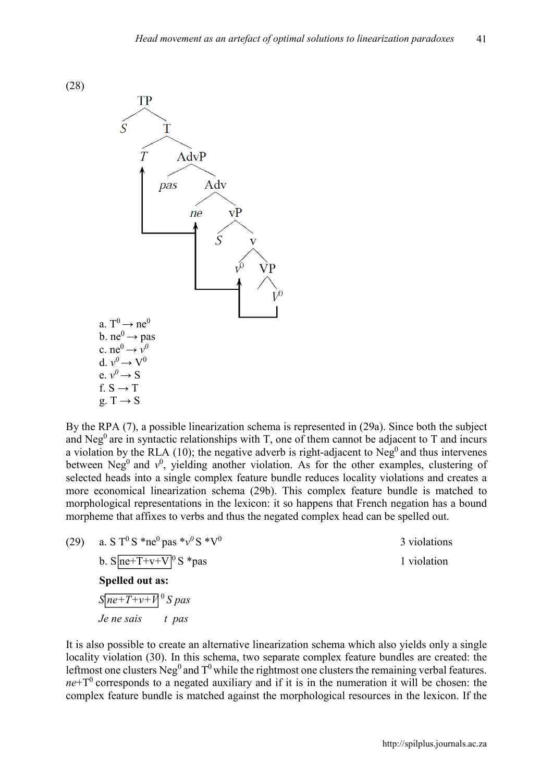



By the RPA (7), a possible linearization schema is represented in (29a). Since both the subject and Neg<sup>0</sup> are in syntactic relationships with T, one of them cannot be adjacent to T and incurs a violation by the RLA (10); the negative adverb is right-adjacent to  $Neg<sup>0</sup>$  and thus intervenes between Neg<sup>0</sup> and  $v^0$ , yielding another violation. As for the other examples, clustering of selected heads into a single complex feature bundle reduces locality violations and creates a more economical linearization schema (29b). This complex feature bundle is matched to morphological representations in the lexicon: it so happens that French negation has a bound morpheme that affixes to verbs and thus the negated complex head can be spelled out.

(29) a. S T<sup>0</sup> S \*ne<sup>0</sup> pas \* $v^0$  S \*V<sup>0</sup> 3 violations b.  $S$  $ne+T+v+V$ <sup>0</sup> S \*pas 1 violation **Spelled out as:**   $S$  *ne*+*T*+*v*+*V*<sup>0</sup> *S pas* 

*Je ne sais t pas*

It is also possible to create an alternative linearization schema which also yields only a single locality violation (30). In this schema, two separate complex feature bundles are created: the leftmost one clusters Neg<sup>0</sup> and  $T^0$  while the rightmost one clusters the remaining verbal features.  $ne+T<sup>0</sup>$  corresponds to a negated auxiliary and if it is in the numeration it will be chosen: the complex feature bundle is matched against the morphological resources in the lexicon. If the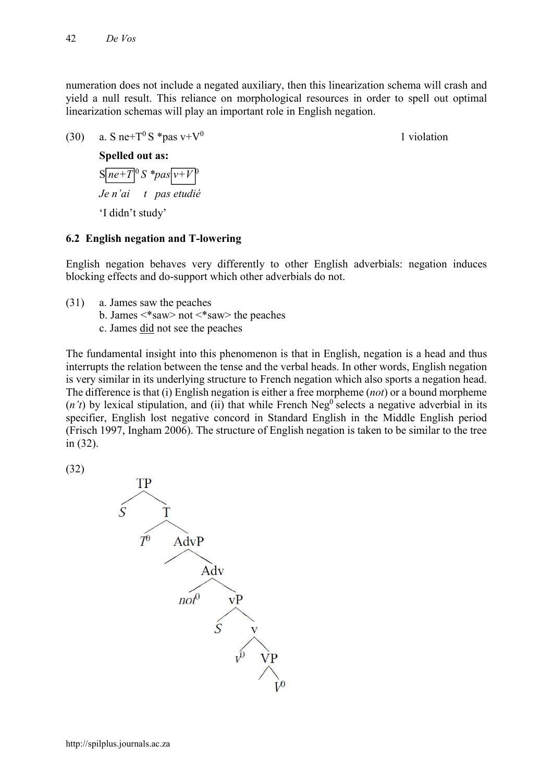numeration does not include a negated auxiliary, then this linearization schema will crash and yield a null result. This reliance on morphological resources in order to spell out optimal linearization schemas will play an important role in English negation.

(30) a. S ne+ $T^0$  S \*pas v+ $V^0$  1 violation

### **Spelled out as:**

 $S[ne+T]$ <sup>0</sup>  $S$   $*pas[v+V]$ *Je n'ai t pas etudié* 'I didn't study'

### **6.2 English negation and T-lowering**

English negation behaves very differently to other English adverbials: negation induces blocking effects and do-support which other adverbials do not.

- (31) a. James saw the peaches
	- b. James <\*saw> not <\*saw> the peaches
	- c. James did not see the peaches

The fundamental insight into this phenomenon is that in English, negation is a head and thus interrupts the relation between the tense and the verbal heads. In other words, English negation is very similar in its underlying structure to French negation which also sports a negation head. The difference is that (i) English negation is either a free morpheme (*not*) or a bound morpheme  $(n't)$  by lexical stipulation, and (ii) that while French Neg<sup>0</sup> selects a negative adverbial in its specifier, English lost negative concord in Standard English in the Middle English period (Frisch 1997, Ingham 2006). The structure of English negation is taken to be similar to the tree in (32).

(32)

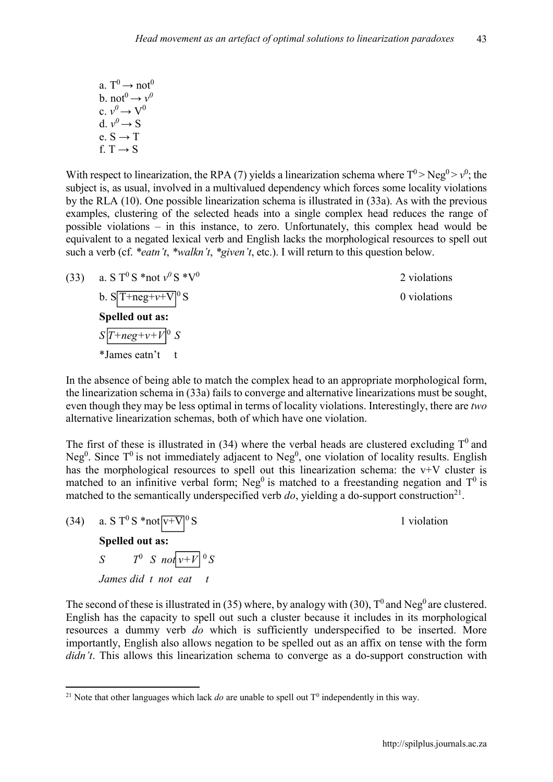a.  $T^0 \rightarrow \text{not}^0$  $\overrightarrow{b}$  not<sup>0</sup>  $\rightarrow$   $v^0$ c.  $v^0 \rightarrow V^0$ d.  $v^0 \rightarrow S$ e. S *→* T f. T  $\rightarrow$  S.

With respect to linearization, the RPA (7) yields a linearization schema where  $T^0$  > Neg<sup>0</sup> >  $v^0$ ; the subject is, as usual, involved in a multivalued dependency which forces some locality violations by the RLA (10). One possible linearization schema is illustrated in (33a). As with the previous examples, clustering of the selected heads into a single complex head reduces the range of possible violations – in this instance, to zero. Unfortunately, this complex head would be equivalent to a negated lexical verb and English lacks the morphological resources to spell out such a verb (cf. *\*eatn't*, *\*walkn't*, *\*given't*, etc.). I will return to this question below.

(33) a. S T<sup>0</sup> S \*not  $v^0$  S \*V<sup>0</sup> 2 violations b.  $S[T+neg+v+V]^0$  S 0 violations **Spelled out as:**   $S\left[T+neg+v+V\right]^0$  *S* \*James eatn't t

In the absence of being able to match the complex head to an appropriate morphological form, the linearization schema in (33a) fails to converge and alternative linearizations must be sought, even though they may be less optimal in terms of locality violations. Interestingly, there are *two*  alternative linearization schemas, both of which have one violation.

The first of these is illustrated in (34) where the verbal heads are clustered excluding  $T^0$  and Neg<sup>0</sup>. Since  $T^0$  is not immediately adjacent to Neg<sup>0</sup>, one violation of locality results. English has the morphological resources to spell out this linearization schema: the  $v+V$  cluster is matched to an infinitive verbal form; Neg<sup>0</sup> is matched to a freestanding negation and  $T^0$  is matched to the semantically underspecified verb  $do$ , yielding a do-support construction<sup>21</sup>.

(34) a. S T<sup>0</sup> S \*not  $\overline{v+V}$ <sup>0</sup> S 1 violation **Spelled out as:**  *S*  $T^0$  *S* not  $v+V^0$  *S James did t not eat t*  $\overline{a}$ 

The second of these is illustrated in (35) where, by analogy with (30),  $T^0$  and Neg<sup>0</sup> are clustered. English has the capacity to spell out such a cluster because it includes in its morphological resources a dummy verb *do* which is sufficiently underspecified to be inserted. More importantly, English also allows negation to be spelled out as an affix on tense with the form *didn't*. This allows this linearization schema to converge as a do-support construction with

 $\overline{\phantom{a}}$ <sup>21</sup> Note that other languages which lack *do* are unable to spell out  $T<sup>0</sup>$  independently in this way.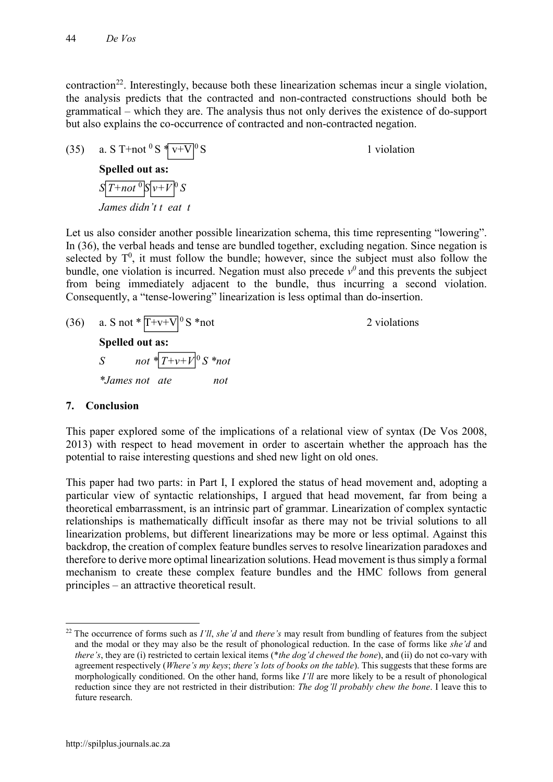contraction<sup>22</sup>. Interestingly, because both these linearization schemas incur a single violation, the analysis predicts that the contracted and non-contracted constructions should both be grammatical – which they are. The analysis thus not only derives the existence of do-support but also explains the co-occurrence of contracted and non-contracted negation.

(35) a. S T+not  ${}^{0}S \times V+V$  ${}^{0}S$  1 violation **Spelled out as:**  $S\left[T+not^{0}|S|\nu+V^{0}|S\right]$ *James didn't t eat t*

Let us also consider another possible linearization schema, this time representing "lowering". In (36), the verbal heads and tense are bundled together, excluding negation. Since negation is selected by  $T^0$ , it must follow the bundle; however, since the subject must also follow the bundle, one violation is incurred. Negation must also precede  $v^0$  and this prevents the subject from being immediately adjacent to the bundle, thus incurring a second violation. Consequently, a "tense-lowering" linearization is less optimal than do-insertion.

(36) a. S not  $*$   $T+v+V$ <sup>0</sup> S  $*$  not 2 violations **Spelled out as:**  *S not*  $*$   $T+ v+ V^0 S * not$ *\*James not ate not*

### **7. Conclusion**

This paper explored some of the implications of a relational view of syntax (De Vos 2008, 2013) with respect to head movement in order to ascertain whether the approach has the potential to raise interesting questions and shed new light on old ones.

This paper had two parts: in Part I, I explored the status of head movement and, adopting a particular view of syntactic relationships, I argued that head movement, far from being a theoretical embarrassment, is an intrinsic part of grammar. Linearization of complex syntactic relationships is mathematically difficult insofar as there may not be trivial solutions to all linearization problems, but different linearizations may be more or less optimal. Against this backdrop, the creation of complex feature bundles serves to resolve linearization paradoxes and therefore to derive more optimal linearization solutions. Head movement is thus simply a formal mechanism to create these complex feature bundles and the HMC follows from general principles – an attractive theoretical result.

 $\overline{\phantom{a}}$ 

<sup>22</sup> The occurrence of forms such as *I'll*, *she'd* and *there's* may result from bundling of features from the subject and the modal or they may also be the result of phonological reduction. In the case of forms like *she'd* and *there's*, they are (i) restricted to certain lexical items (\**the dog'd chewed the bone*), and (ii) do not co-vary with agreement respectively (*Where's my keys*; *there's lots of books on the table*). This suggests that these forms are morphologically conditioned. On the other hand, forms like *I'll* are more likely to be a result of phonological reduction since they are not restricted in their distribution: *The dog'll probably chew the bone*. I leave this to future research.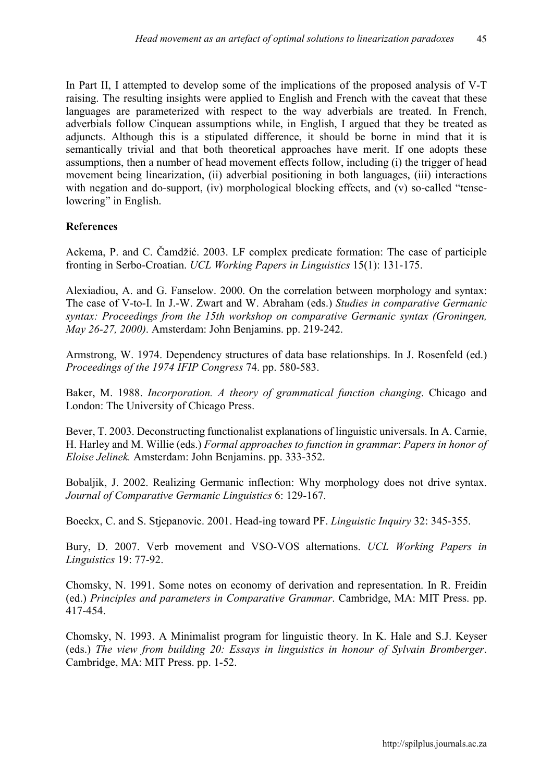In Part II, I attempted to develop some of the implications of the proposed analysis of V-T raising. The resulting insights were applied to English and French with the caveat that these languages are parameterized with respect to the way adverbials are treated. In French, adverbials follow Cinquean assumptions while, in English, I argued that they be treated as adjuncts. Although this is a stipulated difference, it should be borne in mind that it is semantically trivial and that both theoretical approaches have merit. If one adopts these assumptions, then a number of head movement effects follow, including (i) the trigger of head movement being linearization, (ii) adverbial positioning in both languages, (iii) interactions with negation and do-support, (iv) morphological blocking effects, and (v) so-called "tenselowering" in English.

### **References**

Ackema, P. and C. Čamdžić. 2003. LF complex predicate formation: The case of participle fronting in Serbo-Croatian. *UCL Working Papers in Linguistics* 15(1): 131-175.

Alexiadiou, A. and G. Fanselow. 2000. On the correlation between morphology and syntax: The case of V-to-I. In J.-W. Zwart and W. Abraham (eds.) *Studies in comparative Germanic syntax: Proceedings from the 15th workshop on comparative Germanic syntax (Groningen, May 26-27, 2000)*. Amsterdam: John Benjamins. pp. 219-242.

Armstrong, W. 1974. Dependency structures of data base relationships. In J. Rosenfeld (ed.) *Proceedings of the 1974 IFIP Congress* 74. pp. 580-583.

Baker, M. 1988. *Incorporation. A theory of grammatical function changing*. Chicago and London: The University of Chicago Press.

Bever, T. 2003. Deconstructing functionalist explanations of linguistic universals. In A. Carnie, H. Harley and M. Willie (eds.) *Formal approaches to function in grammar*: *Papers in honor of Eloise Jelinek.* Amsterdam: John Benjamins. pp. 333-352.

Bobaljik, J. 2002. Realizing Germanic inflection: Why morphology does not drive syntax. *Journal of Comparative Germanic Linguistics* 6: 129-167.

Boeckx, C. and S. Stjepanovic. 2001. Head-ing toward PF. *Linguistic Inquiry* 32: 345-355.

Bury, D. 2007. Verb movement and VSO-VOS alternations. *UCL Working Papers in Linguistics* 19: 77-92.

Chomsky, N. 1991. Some notes on economy of derivation and representation. In R. Freidin (ed.) *Principles and parameters in Comparative Grammar*. Cambridge, MA: MIT Press. pp. 417-454.

Chomsky, N. 1993. A Minimalist program for linguistic theory. In K. Hale and S.J. Keyser (eds.) *The view from building 20: Essays in linguistics in honour of Sylvain Bromberger*. Cambridge, MA: MIT Press. pp. 1-52.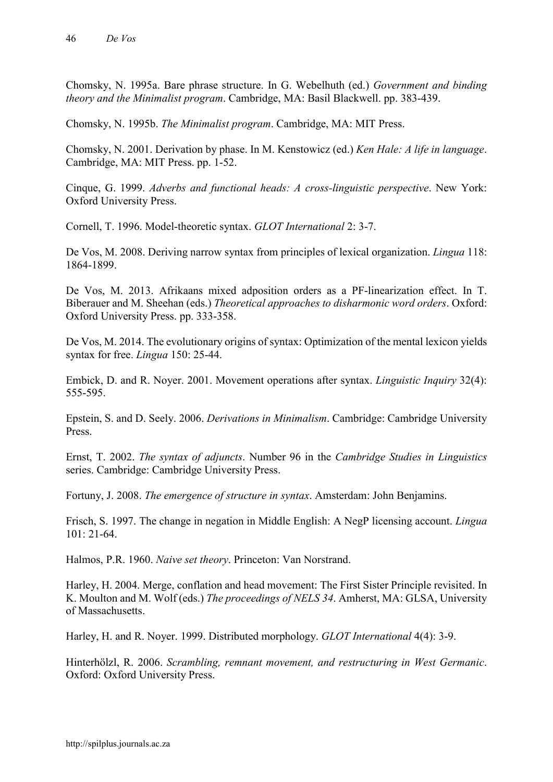Chomsky, N. 1995a. Bare phrase structure. In G. Webelhuth (ed.) *Government and binding theory and the Minimalist program*. Cambridge, MA: Basil Blackwell. pp. 383-439.

Chomsky, N. 1995b. *The Minimalist program*. Cambridge, MA: MIT Press.

Chomsky, N. 2001. Derivation by phase. In M. Kenstowicz (ed.) *Ken Hale: A life in language*. Cambridge, MA: MIT Press. pp. 1-52.

Cinque, G. 1999. *Adverbs and functional heads: A cross-linguistic perspective*. New York: Oxford University Press.

Cornell, T. 1996. Model-theoretic syntax. *GLOT International* 2: 3-7.

De Vos, M. 2008. Deriving narrow syntax from principles of lexical organization. *Lingua* 118: 1864-1899.

De Vos, M. 2013. Afrikaans mixed adposition orders as a PF-linearization effect. In T. Biberauer and M. Sheehan (eds.) *Theoretical approaches to disharmonic word orders*. Oxford: Oxford University Press. pp. 333-358.

De Vos, M. 2014. The evolutionary origins of syntax: Optimization of the mental lexicon yields syntax for free. *Lingua* 150: 25-44.

Embick, D. and R. Noyer. 2001. Movement operations after syntax. *Linguistic Inquiry* 32(4): 555-595.

Epstein, S. and D. Seely. 2006. *Derivations in Minimalism*. Cambridge: Cambridge University Press.

Ernst, T. 2002. *The syntax of adjuncts*. Number 96 in the *Cambridge Studies in Linguistics* series. Cambridge: Cambridge University Press.

Fortuny, J. 2008. *The emergence of structure in syntax*. Amsterdam: John Benjamins.

Frisch, S. 1997. The change in negation in Middle English: A NegP licensing account. *Lingua*  101: 21-64.

Halmos, P.R. 1960. *Naive set theory*. Princeton: Van Norstrand.

Harley, H. 2004. Merge, conflation and head movement: The First Sister Principle revisited. In K. Moulton and M. Wolf (eds.) *The proceedings of NELS 34*. Amherst, MA: GLSA, University of Massachusetts.

Harley, H. and R. Noyer. 1999. Distributed morphology. *GLOT International* 4(4): 3-9.

Hinterhölzl, R. 2006. *Scrambling, remnant movement, and restructuring in West Germanic*. Oxford: Oxford University Press.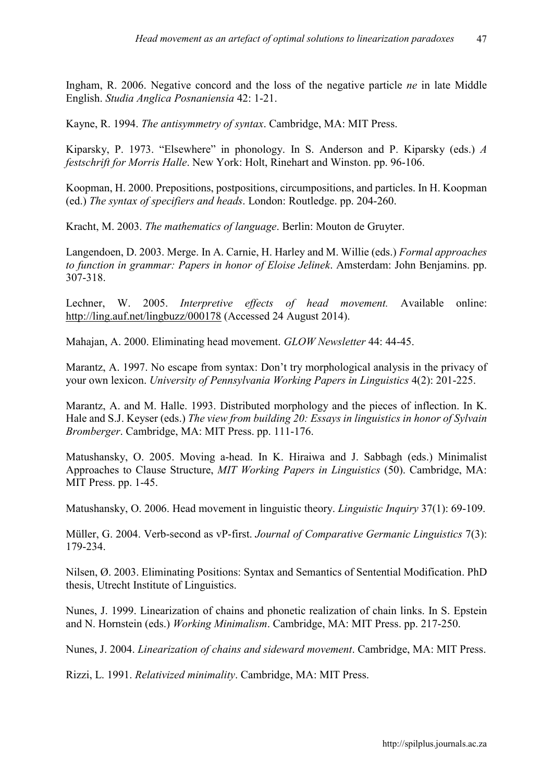Ingham, R. 2006. Negative concord and the loss of the negative particle *ne* in late Middle English. *Studia Anglica Posnaniensia* 42: 1-21.

Kayne, R. 1994. *The antisymmetry of syntax*. Cambridge, MA: MIT Press.

Kiparsky, P. 1973. "Elsewhere" in phonology. In S. Anderson and P. Kiparsky (eds.) *A festschrift for Morris Halle*. New York: Holt, Rinehart and Winston. pp. 96-106.

Koopman, H. 2000. Prepositions, postpositions, circumpositions, and particles. In H. Koopman (ed.) *The syntax of specifiers and heads*. London: Routledge. pp. 204-260.

Kracht, M. 2003. *The mathematics of language*. Berlin: Mouton de Gruyter.

Langendoen, D. 2003. Merge. In A. Carnie, H. Harley and M. Willie (eds.) *Formal approaches to function in grammar: Papers in honor of Eloise Jelinek*. Amsterdam: John Benjamins. pp. 307-318.

Lechner, W. 2005. *Interpretive effects of head movement.* Available online: <http://ling.auf.net/lingbuzz/000178> (Accessed 24 August 2014).

Mahajan, A. 2000. Eliminating head movement. *GLOW Newsletter* 44: 44-45.

Marantz, A. 1997. No escape from syntax: Don't try morphological analysis in the privacy of your own lexicon. *University of Pennsylvania Working Papers in Linguistics* 4(2): 201-225.

Marantz, A. and M. Halle. 1993. Distributed morphology and the pieces of inflection. In K. Hale and S.J. Keyser (eds.) *The view from building 20: Essays in linguistics in honor of Sylvain Bromberger*. Cambridge, MA: MIT Press. pp. 111-176.

Matushansky, O. 2005. Moving a-head. In K. Hiraiwa and J. Sabbagh (eds.) Minimalist Approaches to Clause Structure, *MIT Working Papers in Linguistics* (50). Cambridge, MA: MIT Press. pp. 1-45.

Matushansky, O. 2006. Head movement in linguistic theory. *Linguistic Inquiry* 37(1): 69-109.

Müller, G. 2004. Verb-second as vP-first. *Journal of Comparative Germanic Linguistics* 7(3): 179-234.

Nilsen, Ø. 2003. Eliminating Positions: Syntax and Semantics of Sentential Modification. PhD thesis, Utrecht Institute of Linguistics.

Nunes, J. 1999. Linearization of chains and phonetic realization of chain links. In S. Epstein and N. Hornstein (eds.) *Working Minimalism*. Cambridge, MA: MIT Press. pp. 217-250.

Nunes, J. 2004. *Linearization of chains and sideward movement*. Cambridge, MA: MIT Press.

Rizzi, L. 1991. *Relativized minimality*. Cambridge, MA: MIT Press.